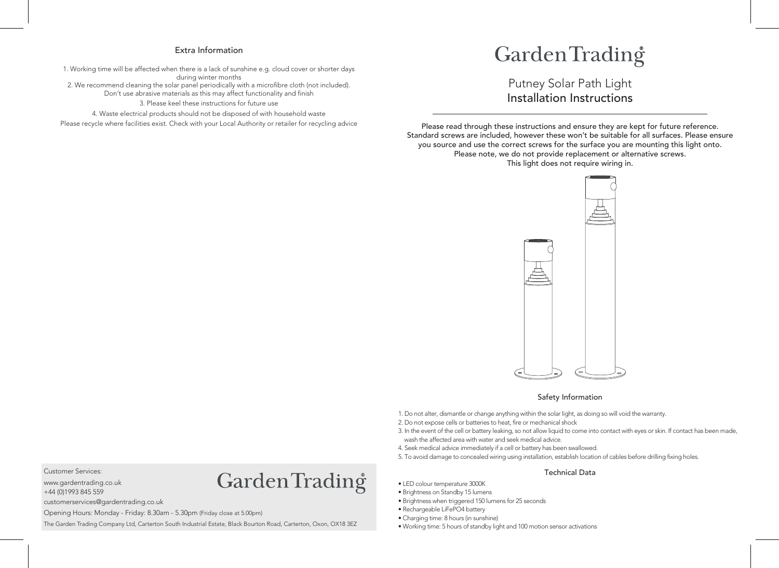## Extra Information

1. Working time will be affected when there is a lack of sunshine e.g. cloud cover or shorter days during winter months 2. We recommend cleaning the solar panel periodically with a microfibre cloth (not included). Don't use abrasive materials as this may affect functionality and finish 3. Please keel these instructions for future use 4. Waste electrical products should not be disposed of with household waste

Please recycle where facilities exist. Check with your Local Authority or retailer for recycling advice

## GardenTrading

Installation Instructions Putney Solar Path Light

Please read through these instructions and ensure they are kept for future reference. Standard screws are included, however these won't be suitable for all surfaces. Please ensure you source and use the correct screws for the surface you are mounting this light onto. Please note, we do not provide replacement or alternative screws. This light does not require wiring in.



#### Safety Information

1. Do not alter, dismantle or change anything within the solar light, as doing so will void the warranty.

2. Do not expose cells or batteries to heat, fire or mechanical shock

- 3. In the event of the cell or battery leaking, so not allow liquid to come into contact with eyes or skin. If contact has been made, wash the affected area with water and seek medical advice.
- 4. Seek medical advice immediately if a cell or battery has been swallowed.
- 5. To avoid damage to concealed wiring using installation, establish location of cables before drilling fixing holes.

#### Technical Data

- LED colour temperature 3000K
- Brightness on Standby 15 lumens
- Brightness when triggered 150 lumens for 25 seconds
- Rechargeable LiFePO4 battery
- Charging time: 8 hours (in sunshine)
- Working time: 5 hours of standby light and 100 motion sensor activations

Customer Services:

www.gardentrading.co.uk +44 (0)1993 845 559

# Garden Trading<sup>®</sup>

customerservices@gardentrading.co.uk

Opening Hours: Monday - Friday: 8.30am - 5.30pm (Friday close at 5.00pm)

The Garden Trading Company Ltd, Carterton South Industrial Estate, Black Bourton Road, Carterton, Oxon, OX18 3EZ